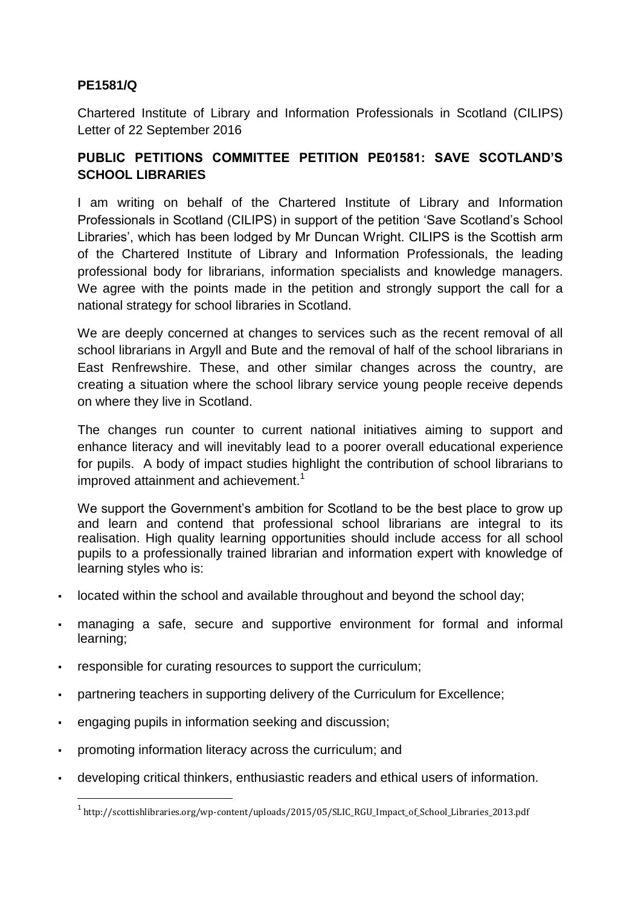## **PE1581/Q**

Chartered Institute of Library and Information Professionals in Scotland (CILIPS) Letter of 22 September 2016

## **PUBLIC PETITIONS COMMITTEE PETITION PE01581: SAVE SCOTLAND'S SCHOOL LIBRARIES**

I am writing on behalf of the Chartered Institute of Library and Information Professionals in Scotland (CILIPS) in support of the petition 'Save Scotland's School Libraries', which has been lodged by Mr Duncan Wright. CILIPS is the Scottish arm of the Chartered Institute of Library and Information Professionals, the leading professional body for librarians, information specialists and knowledge managers. We agree with the points made in the petition and strongly support the call for a national strategy for school libraries in Scotland.

We are deeply concerned at changes to services such as the recent removal of all school librarians in Argyll and Bute and the removal of half of the school librarians in East Renfrewshire. These, and other similar changes across the country, are creating a situation where the school library service young people receive depends on where they live in Scotland.

The changes run counter to current national initiatives aiming to support and enhance literacy and will inevitably lead to a poorer overall educational experience for pupils. A body of impact studies highlight the contribution of school librarians to improved attainment and achievement. $1$ 

We support the Government's ambition for Scotland to be the best place to grow up and learn and contend that professional school librarians are integral to its realisation. High quality learning opportunities should include access for all school pupils to a professionally trained librarian and information expert with knowledge of learning styles who is:

- located within the school and available throughout and beyond the school day;
- managing a safe, secure and supportive environment for formal and informal learning;
- responsible for curating resources to support the curriculum;
- partnering teachers in supporting delivery of the Curriculum for Excellence;
- engaging pupils in information seeking and discussion;

**.** 

- promoting information literacy across the curriculum; and
- developing critical thinkers, enthusiastic readers and ethical users of information.

<sup>&</sup>lt;sup>1</sup> http://scottishlibraries.org/wp-content/uploads/2015/05/SLIC\_RGU\_Impact\_of\_School\_Libraries\_2013.pdf